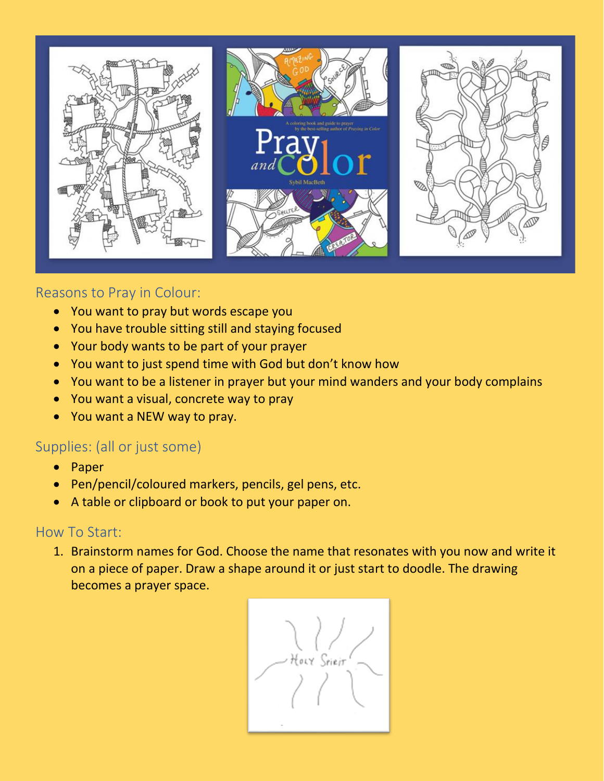

## Reasons to Pray in Colour:

- You want to pray but words escape you
- You have trouble sitting still and staying focused
- Your body wants to be part of your prayer
- You want to just spend time with God but don't know how
- You want to be a listener in prayer but your mind wanders and your body complains
- You want a visual, concrete way to pray
- You want a NEW way to pray.

## Supplies: (all or just some)

- Paper
- Pen/pencil/coloured markers, pencils, gel pens, etc.
- A table or clipboard or book to put your paper on.

## How To Start:

1. Brainstorm names for God. Choose the name that resonates with you now and write it on a piece of paper. Draw a shape around it or just start to doodle. The drawing becomes a prayer space.